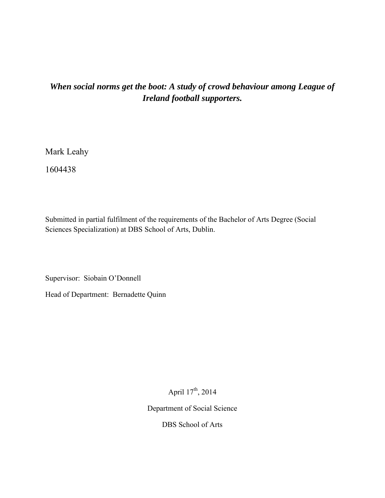## *When social norms get the boot: A study of crowd behaviour among League of Ireland football supporters.*

Mark Leahy

1604438

Submitted in partial fulfilment of the requirements of the Bachelor of Arts Degree (Social Sciences Specialization) at DBS School of Arts, Dublin.

Supervisor: Siobain O'Donnell

Head of Department: Bernadette Quinn

April 17<sup>th</sup>, 2014

Department of Social Science

DBS School of Arts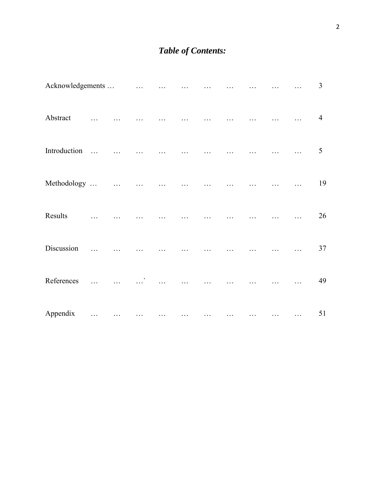# *Table of Contents:*

| Acknowledgements |              |           | $\ldots$ |  |  |  | $\overline{3}$ |
|------------------|--------------|-----------|----------|--|--|--|----------------|
| Abstract         |              |           |          |  |  |  | $\overline{4}$ |
| Introduction     | $\mathbf{r}$ |           |          |  |  |  | 5              |
| Methodology      |              | $\ddotsc$ |          |  |  |  | 19             |
| Results          |              |           |          |  |  |  | 26             |
| Discussion       |              |           |          |  |  |  | 37             |
| References       |              |           |          |  |  |  | 49             |
| Appendix         | .            |           |          |  |  |  | 51             |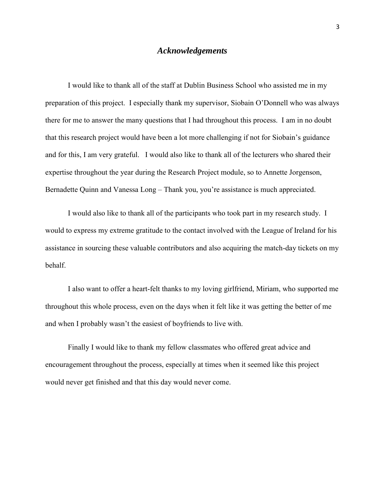### *Acknowledgements*

 I would like to thank all of the staff at Dublin Business School who assisted me in my preparation of this project. I especially thank my supervisor, Siobain O'Donnell who was always there for me to answer the many questions that I had throughout this process. I am in no doubt that this research project would have been a lot more challenging if not for Siobain's guidance and for this, I am very grateful. I would also like to thank all of the lecturers who shared their expertise throughout the year during the Research Project module, so to Annette Jorgenson, Bernadette Quinn and Vanessa Long – Thank you, you're assistance is much appreciated.

I would also like to thank all of the participants who took part in my research study. I would to express my extreme gratitude to the contact involved with the League of Ireland for his assistance in sourcing these valuable contributors and also acquiring the match-day tickets on my behalf.

 I also want to offer a heart-felt thanks to my loving girlfriend, Miriam, who supported me throughout this whole process, even on the days when it felt like it was getting the better of me and when I probably wasn't the easiest of boyfriends to live with.

 Finally I would like to thank my fellow classmates who offered great advice and encouragement throughout the process, especially at times when it seemed like this project would never get finished and that this day would never come.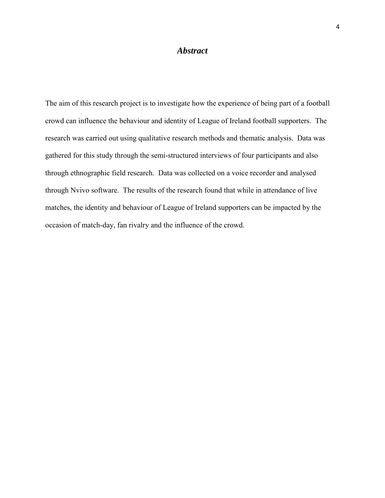### *Abstract*

The aim of this research project is to investigate how the experience of being part of a football crowd can influence the behaviour and identity of League of Ireland football supporters. The research was carried out using qualitative research methods and thematic analysis. Data was gathered for this study through the semi-structured interviews of four participants and also through ethnographic field research. Data was collected on a voice recorder and analysed through Nvivo software. The results of the research found that while in attendance of live matches, the identity and behaviour of League of Ireland supporters can be impacted by the occasion of match-day, fan rivalry and the influence of the crowd.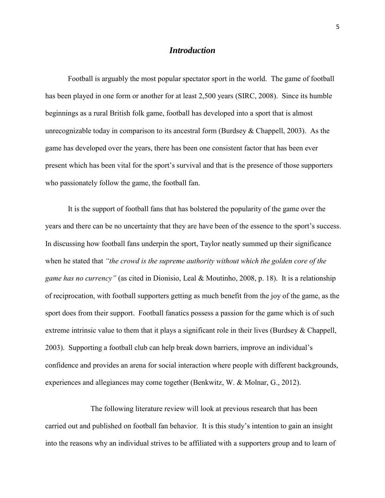### *Introduction*

 Football is arguably the most popular spectator sport in the world. The game of football has been played in one form or another for at least 2,500 years (SIRC, 2008). Since its humble beginnings as a rural British folk game, football has developed into a sport that is almost unrecognizable today in comparison to its ancestral form (Burdsey  $\&$  Chappell, 2003). As the game has developed over the years, there has been one consistent factor that has been ever present which has been vital for the sport's survival and that is the presence of those supporters who passionately follow the game, the football fan.

 It is the support of football fans that has bolstered the popularity of the game over the years and there can be no uncertainty that they are have been of the essence to the sport's success. In discussing how football fans underpin the sport, Taylor neatly summed up their significance when he stated that *"the crowd is the supreme authority without which the golden core of the game has no currency"* (as cited in Dionisio, Leal & Moutinho, 2008, p. 18). It is a relationship of reciprocation, with football supporters getting as much benefit from the joy of the game, as the sport does from their support. Football fanatics possess a passion for the game which is of such extreme intrinsic value to them that it plays a significant role in their lives (Burdsey & Chappell, 2003). Supporting a football club can help break down barriers, improve an individual's confidence and provides an arena for social interaction where people with different backgrounds, experiences and allegiances may come together (Benkwitz, W. & Molnar, G., 2012).

 The following literature review will look at previous research that has been carried out and published on football fan behavior. It is this study's intention to gain an insight into the reasons why an individual strives to be affiliated with a supporters group and to learn of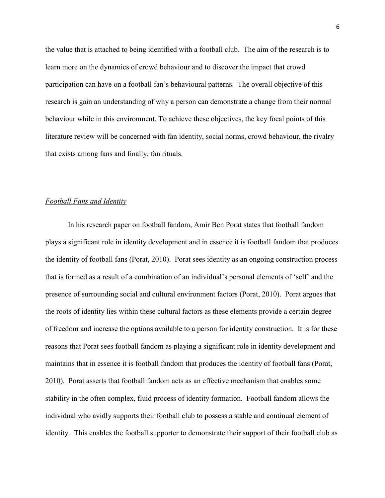the value that is attached to being identified with a football club. The aim of the research is to learn more on the dynamics of crowd behaviour and to discover the impact that crowd participation can have on a football fan's behavioural patterns. The overall objective of this research is gain an understanding of why a person can demonstrate a change from their normal behaviour while in this environment. To achieve these objectives, the key focal points of this literature review will be concerned with fan identity, social norms, crowd behaviour, the rivalry that exists among fans and finally, fan rituals.

### *Football Fans and Identity*

 In his research paper on football fandom, Amir Ben Porat states that football fandom plays a significant role in identity development and in essence it is football fandom that produces the identity of football fans (Porat, 2010). Porat sees identity as an ongoing construction process that is formed as a result of a combination of an individual's personal elements of 'self' and the presence of surrounding social and cultural environment factors (Porat, 2010). Porat argues that the roots of identity lies within these cultural factors as these elements provide a certain degree of freedom and increase the options available to a person for identity construction. It is for these reasons that Porat sees football fandom as playing a significant role in identity development and maintains that in essence it is football fandom that produces the identity of football fans (Porat, 2010). Porat asserts that football fandom acts as an effective mechanism that enables some stability in the often complex, fluid process of identity formation. Football fandom allows the individual who avidly supports their football club to possess a stable and continual element of identity. This enables the football supporter to demonstrate their support of their football club as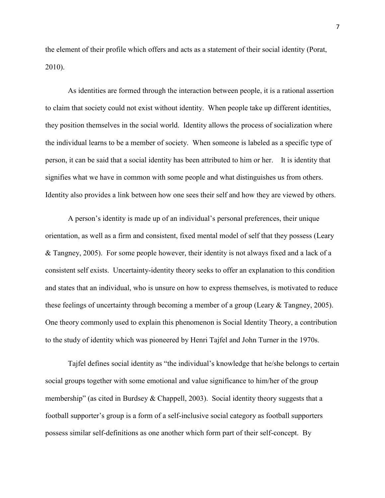the element of their profile which offers and acts as a statement of their social identity (Porat, 2010).

 As identities are formed through the interaction between people, it is a rational assertion to claim that society could not exist without identity. When people take up different identities, they position themselves in the social world. Identity allows the process of socialization where the individual learns to be a member of society. When someone is labeled as a specific type of person, it can be said that a social identity has been attributed to him or her. It is identity that signifies what we have in common with some people and what distinguishes us from others. Identity also provides a link between how one sees their self and how they are viewed by others.

 A person's identity is made up of an individual's personal preferences, their unique orientation, as well as a firm and consistent, fixed mental model of self that they possess (Leary & Tangney, 2005). For some people however, their identity is not always fixed and a lack of a consistent self exists. Uncertainty-identity theory seeks to offer an explanation to this condition and states that an individual, who is unsure on how to express themselves, is motivated to reduce these feelings of uncertainty through becoming a member of a group (Leary & Tangney, 2005). One theory commonly used to explain this phenomenon is Social Identity Theory, a contribution to the study of identity which was pioneered by Henri Tajfel and John Turner in the 1970s.

 Tajfel defines social identity as "the individual's knowledge that he/she belongs to certain social groups together with some emotional and value significance to him/her of the group membership" (as cited in Burdsey & Chappell, 2003). Social identity theory suggests that a football supporter's group is a form of a self-inclusive social category as football supporters possess similar self-definitions as one another which form part of their self-concept. By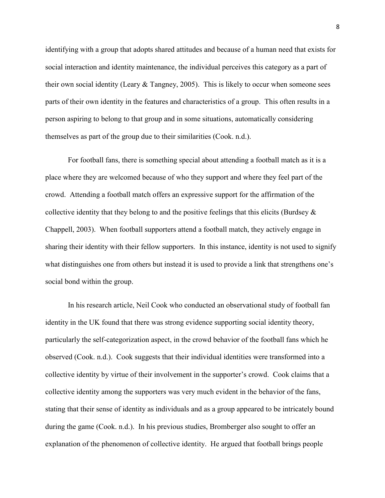identifying with a group that adopts shared attitudes and because of a human need that exists for social interaction and identity maintenance, the individual perceives this category as a part of their own social identity (Leary & Tangney, 2005). This is likely to occur when someone sees parts of their own identity in the features and characteristics of a group. This often results in a person aspiring to belong to that group and in some situations, automatically considering themselves as part of the group due to their similarities (Cook. n.d.).

For football fans, there is something special about attending a football match as it is a place where they are welcomed because of who they support and where they feel part of the crowd. Attending a football match offers an expressive support for the affirmation of the collective identity that they belong to and the positive feelings that this elicits (Burdsey  $\&$ Chappell, 2003). When football supporters attend a football match, they actively engage in sharing their identity with their fellow supporters. In this instance, identity is not used to signify what distinguishes one from others but instead it is used to provide a link that strengthens one's social bond within the group.

In his research article, Neil Cook who conducted an observational study of football fan identity in the UK found that there was strong evidence supporting social identity theory, particularly the self-categorization aspect, in the crowd behavior of the football fans which he observed (Cook. n.d.). Cook suggests that their individual identities were transformed into a collective identity by virtue of their involvement in the supporter's crowd. Cook claims that a collective identity among the supporters was very much evident in the behavior of the fans, stating that their sense of identity as individuals and as a group appeared to be intricately bound during the game (Cook. n.d.). In his previous studies, Bromberger also sought to offer an explanation of the phenomenon of collective identity. He argued that football brings people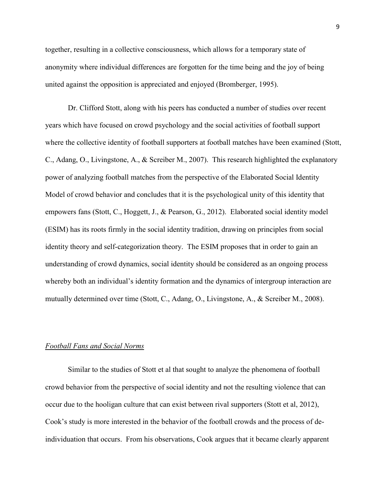together, resulting in a collective consciousness, which allows for a temporary state of anonymity where individual differences are forgotten for the time being and the joy of being united against the opposition is appreciated and enjoyed (Bromberger, 1995).

 Dr. Clifford Stott, along with his peers has conducted a number of studies over recent years which have focused on crowd psychology and the social activities of football support where the collective identity of football supporters at football matches have been examined (Stott, C., Adang, O., Livingstone, A., & Screiber M., 2007). This research highlighted the explanatory power of analyzing football matches from the perspective of the Elaborated Social Identity Model of crowd behavior and concludes that it is the psychological unity of this identity that empowers fans (Stott, C., Hoggett, J., & Pearson, G., 2012). Elaborated social identity model (ESIM) has its roots firmly in the social identity tradition, drawing on principles from social identity theory and self-categorization theory. The ESIM proposes that in order to gain an understanding of crowd dynamics, social identity should be considered as an ongoing process whereby both an individual's identity formation and the dynamics of intergroup interaction are mutually determined over time (Stott, C., Adang, O., Livingstone, A., & Screiber M., 2008).

### *Football Fans and Social Norms*

 Similar to the studies of Stott et al that sought to analyze the phenomena of football crowd behavior from the perspective of social identity and not the resulting violence that can occur due to the hooligan culture that can exist between rival supporters (Stott et al, 2012), Cook's study is more interested in the behavior of the football crowds and the process of deindividuation that occurs. From his observations, Cook argues that it became clearly apparent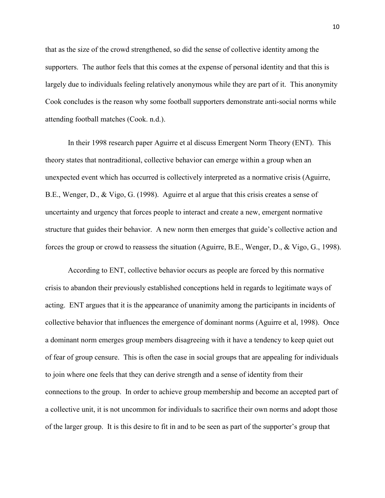that as the size of the crowd strengthened, so did the sense of collective identity among the supporters. The author feels that this comes at the expense of personal identity and that this is largely due to individuals feeling relatively anonymous while they are part of it. This anonymity Cook concludes is the reason why some football supporters demonstrate anti-social norms while attending football matches (Cook. n.d.).

 In their 1998 research paper Aguirre et al discuss Emergent Norm Theory (ENT). This theory states that nontraditional, collective behavior can emerge within a group when an unexpected event which has occurred is collectively interpreted as a normative crisis (Aguirre, B.E., Wenger, D., & Vigo, G. (1998). Aguirre et al argue that this crisis creates a sense of uncertainty and urgency that forces people to interact and create a new, emergent normative structure that guides their behavior. A new norm then emerges that guide's collective action and forces the group or crowd to reassess the situation (Aguirre, B.E., Wenger, D., & Vigo, G., 1998).

 According to ENT, collective behavior occurs as people are forced by this normative crisis to abandon their previously established conceptions held in regards to legitimate ways of acting. ENT argues that it is the appearance of unanimity among the participants in incidents of collective behavior that influences the emergence of dominant norms (Aguirre et al, 1998). Once a dominant norm emerges group members disagreeing with it have a tendency to keep quiet out of fear of group censure. This is often the case in social groups that are appealing for individuals to join where one feels that they can derive strength and a sense of identity from their connections to the group. In order to achieve group membership and become an accepted part of a collective unit, it is not uncommon for individuals to sacrifice their own norms and adopt those of the larger group. It is this desire to fit in and to be seen as part of the supporter's group that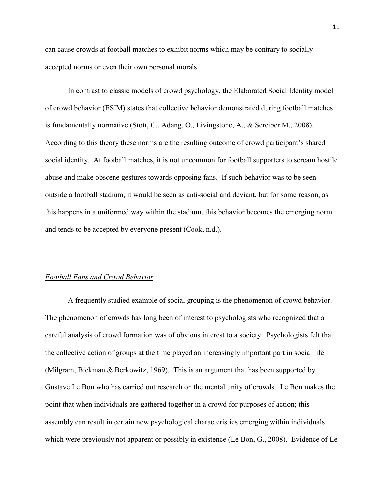can cause crowds at football matches to exhibit norms which may be contrary to socially accepted norms or even their own personal morals.

 In contrast to classic models of crowd psychology, the Elaborated Social Identity model of crowd behavior (ESIM) states that collective behavior demonstrated during football matches is fundamentally normative (Stott, C., Adang, O., Livingstone, A., & Screiber M., 2008). According to this theory these norms are the resulting outcome of crowd participant's shared social identity. At football matches, it is not uncommon for football supporters to scream hostile abuse and make obscene gestures towards opposing fans. If such behavior was to be seen outside a football stadium, it would be seen as anti-social and deviant, but for some reason, as this happens in a uniformed way within the stadium, this behavior becomes the emerging norm and tends to be accepted by everyone present (Cook, n.d.).

### *Football Fans and Crowd Behavior*

 A frequently studied example of social grouping is the phenomenon of crowd behavior. The phenomenon of crowds has long been of interest to psychologists who recognized that a careful analysis of crowd formation was of obvious interest to a society. Psychologists felt that the collective action of groups at the time played an increasingly important part in social life (Milgram, Bickman & Berkowitz, 1969). This is an argument that has been supported by Gustave Le Bon who has carried out research on the mental unity of crowds. Le Bon makes the point that when individuals are gathered together in a crowd for purposes of action; this assembly can result in certain new psychological characteristics emerging within individuals which were previously not apparent or possibly in existence (Le Bon, G., 2008). Evidence of Le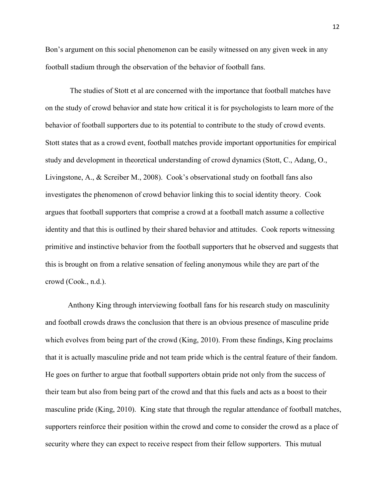Bon's argument on this social phenomenon can be easily witnessed on any given week in any football stadium through the observation of the behavior of football fans.

 The studies of Stott et al are concerned with the importance that football matches have on the study of crowd behavior and state how critical it is for psychologists to learn more of the behavior of football supporters due to its potential to contribute to the study of crowd events. Stott states that as a crowd event, football matches provide important opportunities for empirical study and development in theoretical understanding of crowd dynamics (Stott, C., Adang, O., Livingstone, A., & Screiber M., 2008). Cook's observational study on football fans also investigates the phenomenon of crowd behavior linking this to social identity theory. Cook argues that football supporters that comprise a crowd at a football match assume a collective identity and that this is outlined by their shared behavior and attitudes. Cook reports witnessing primitive and instinctive behavior from the football supporters that he observed and suggests that this is brought on from a relative sensation of feeling anonymous while they are part of the crowd (Cook., n.d.).

 Anthony King through interviewing football fans for his research study on masculinity and football crowds draws the conclusion that there is an obvious presence of masculine pride which evolves from being part of the crowd (King, 2010). From these findings, King proclaims that it is actually masculine pride and not team pride which is the central feature of their fandom. He goes on further to argue that football supporters obtain pride not only from the success of their team but also from being part of the crowd and that this fuels and acts as a boost to their masculine pride (King, 2010). King state that through the regular attendance of football matches, supporters reinforce their position within the crowd and come to consider the crowd as a place of security where they can expect to receive respect from their fellow supporters. This mutual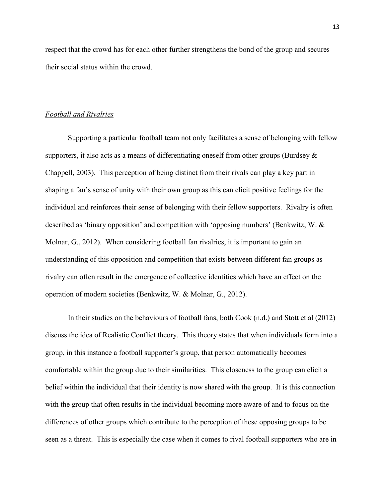respect that the crowd has for each other further strengthens the bond of the group and secures their social status within the crowd.

#### *Football and Rivalries*

Supporting a particular football team not only facilitates a sense of belonging with fellow supporters, it also acts as a means of differentiating oneself from other groups (Burdsey & Chappell, 2003). This perception of being distinct from their rivals can play a key part in shaping a fan's sense of unity with their own group as this can elicit positive feelings for the individual and reinforces their sense of belonging with their fellow supporters. Rivalry is often described as 'binary opposition' and competition with 'opposing numbers' (Benkwitz, W. & Molnar, G., 2012). When considering football fan rivalries, it is important to gain an understanding of this opposition and competition that exists between different fan groups as rivalry can often result in the emergence of collective identities which have an effect on the operation of modern societies (Benkwitz, W. & Molnar, G., 2012).

 In their studies on the behaviours of football fans, both Cook (n.d.) and Stott et al (2012) discuss the idea of Realistic Conflict theory. This theory states that when individuals form into a group, in this instance a football supporter's group, that person automatically becomes comfortable within the group due to their similarities. This closeness to the group can elicit a belief within the individual that their identity is now shared with the group. It is this connection with the group that often results in the individual becoming more aware of and to focus on the differences of other groups which contribute to the perception of these opposing groups to be seen as a threat. This is especially the case when it comes to rival football supporters who are in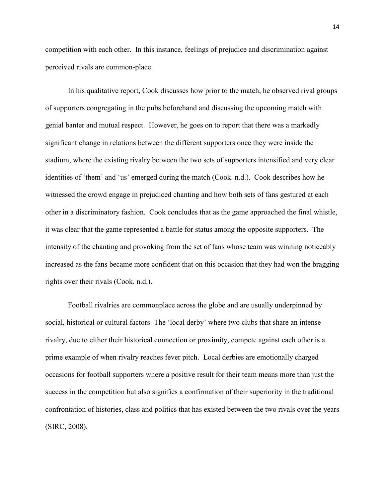competition with each other. In this instance, feelings of prejudice and discrimination against perceived rivals are common-place.

 In his qualitative report, Cook discusses how prior to the match, he observed rival groups of supporters congregating in the pubs beforehand and discussing the upcoming match with genial banter and mutual respect. However, he goes on to report that there was a markedly significant change in relations between the different supporters once they were inside the stadium, where the existing rivalry between the two sets of supporters intensified and very clear identities of 'them' and 'us' emerged during the match (Cook. n.d.). Cook describes how he witnessed the crowd engage in prejudiced chanting and how both sets of fans gestured at each other in a discriminatory fashion. Cook concludes that as the game approached the final whistle, it was clear that the game represented a battle for status among the opposite supporters. The intensity of the chanting and provoking from the set of fans whose team was winning noticeably increased as the fans became more confident that on this occasion that they had won the bragging rights over their rivals (Cook. n.d.).

Football rivalries are commonplace across the globe and are usually underpinned by social, historical or cultural factors. The 'local derby' where two clubs that share an intense rivalry, due to either their historical connection or proximity, compete against each other is a prime example of when rivalry reaches fever pitch. Local derbies are emotionally charged occasions for football supporters where a positive result for their team means more than just the success in the competition but also signifies a confirmation of their superiority in the traditional confrontation of histories, class and politics that has existed between the two rivals over the years (SIRC, 2008).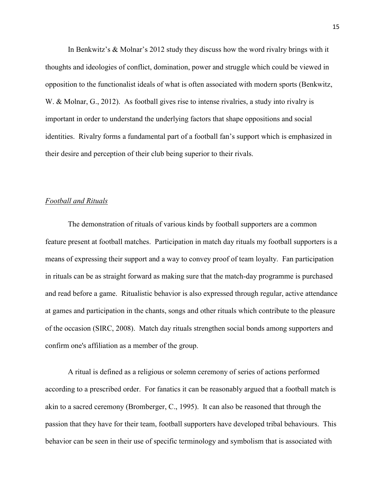In Benkwitz's & Molnar's 2012 study they discuss how the word rivalry brings with it thoughts and ideologies of conflict, domination, power and struggle which could be viewed in opposition to the functionalist ideals of what is often associated with modern sports (Benkwitz, W. & Molnar, G., 2012). As football gives rise to intense rivalries, a study into rivalry is important in order to understand the underlying factors that shape oppositions and social identities. Rivalry forms a fundamental part of a football fan's support which is emphasized in their desire and perception of their club being superior to their rivals.

### *Football and Rituals*

 The demonstration of rituals of various kinds by football supporters are a common feature present at football matches. Participation in match day rituals my football supporters is a means of expressing their support and a way to convey proof of team loyalty. Fan participation in rituals can be as straight forward as making sure that the match-day programme is purchased and read before a game. Ritualistic behavior is also expressed through regular, active attendance at games and participation in the chants, songs and other rituals which contribute to the pleasure of the occasion (SIRC, 2008). Match day rituals strengthen social bonds among supporters and confirm one's affiliation as a member of the group.

A ritual is defined as a religious or solemn ceremony of series of actions performed according to a prescribed order. For fanatics it can be reasonably argued that a football match is akin to a sacred ceremony (Bromberger, C., 1995). It can also be reasoned that through the passion that they have for their team, football supporters have developed tribal behaviours. This behavior can be seen in their use of specific terminology and symbolism that is associated with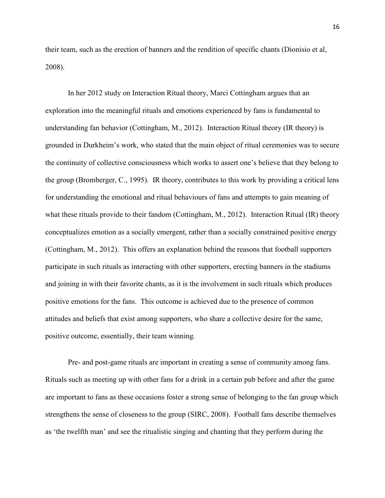their team, such as the erection of banners and the rendition of specific chants (Dionisio et al, 2008).

In her 2012 study on Interaction Ritual theory, Marci Cottingham argues that an exploration into the meaningful rituals and emotions experienced by fans is fundamental to understanding fan behavior (Cottingham, M., 2012). Interaction Ritual theory (IR theory) is grounded in Durkheim's work, who stated that the main object of ritual ceremonies was to secure the continuity of collective consciousness which works to assert one's believe that they belong to the group (Bromberger, C., 1995). IR theory, contributes to this work by providing a critical lens for understanding the emotional and ritual behaviours of fans and attempts to gain meaning of what these rituals provide to their fandom (Cottingham, M., 2012). Interaction Ritual (IR) theory conceptualizes emotion as a socially emergent, rather than a socially constrained positive energy (Cottingham, M., 2012). This offers an explanation behind the reasons that football supporters participate in such rituals as interacting with other supporters, erecting banners in the stadiums and joining in with their favorite chants, as it is the involvement in such rituals which produces positive emotions for the fans. This outcome is achieved due to the presence of common attitudes and beliefs that exist among supporters, who share a collective desire for the same, positive outcome, essentially, their team winning.

Pre- and post-game rituals are important in creating a sense of community among fans. Rituals such as meeting up with other fans for a drink in a certain pub before and after the game are important to fans as these occasions foster a strong sense of belonging to the fan group which strengthens the sense of closeness to the group (SIRC, 2008). Football fans describe themselves as 'the twelfth man' and see the ritualistic singing and chanting that they perform during the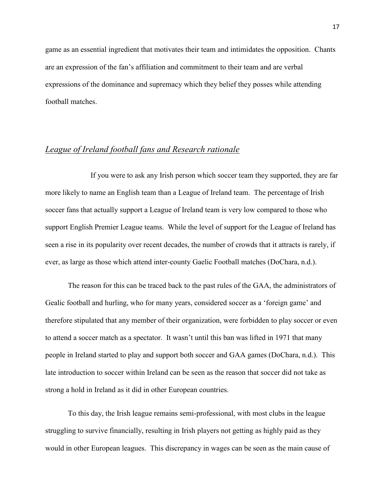game as an essential ingredient that motivates their team and intimidates the opposition. Chants are an expression of the fan's affiliation and commitment to their team and are verbal expressions of the dominance and supremacy which they belief they posses while attending football matches.

## *League of Ireland football fans and Research rationale*

 If you were to ask any Irish person which soccer team they supported, they are far more likely to name an English team than a League of Ireland team. The percentage of Irish soccer fans that actually support a League of Ireland team is very low compared to those who support English Premier League teams. While the level of support for the League of Ireland has seen a rise in its popularity over recent decades, the number of crowds that it attracts is rarely, if ever, as large as those which attend inter-county Gaelic Football matches (DoChara, n.d.).

 The reason for this can be traced back to the past rules of the GAA, the administrators of Gealic football and hurling, who for many years, considered soccer as a 'foreign game' and therefore stipulated that any member of their organization, were forbidden to play soccer or even to attend a soccer match as a spectator. It wasn't until this ban was lifted in 1971 that many people in Ireland started to play and support both soccer and GAA games (DoChara, n.d.). This late introduction to soccer within Ireland can be seen as the reason that soccer did not take as strong a hold in Ireland as it did in other European countries.

 To this day, the Irish league remains semi-professional, with most clubs in the league struggling to survive financially, resulting in Irish players not getting as highly paid as they would in other European leagues. This discrepancy in wages can be seen as the main cause of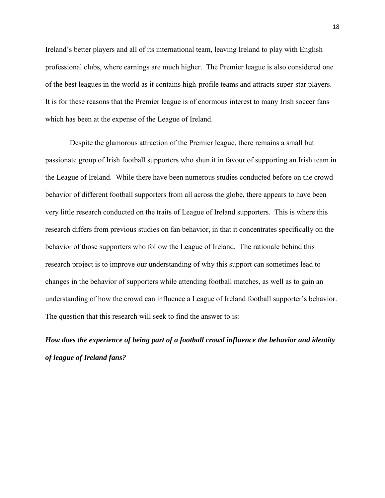Ireland's better players and all of its international team, leaving Ireland to play with English professional clubs, where earnings are much higher. The Premier league is also considered one of the best leagues in the world as it contains high-profile teams and attracts super-star players. It is for these reasons that the Premier league is of enormous interest to many Irish soccer fans which has been at the expense of the League of Ireland.

 Despite the glamorous attraction of the Premier league, there remains a small but passionate group of Irish football supporters who shun it in favour of supporting an Irish team in the League of Ireland. While there have been numerous studies conducted before on the crowd behavior of different football supporters from all across the globe, there appears to have been very little research conducted on the traits of League of Ireland supporters. This is where this research differs from previous studies on fan behavior, in that it concentrates specifically on the behavior of those supporters who follow the League of Ireland. The rationale behind this research project is to improve our understanding of why this support can sometimes lead to changes in the behavior of supporters while attending football matches, as well as to gain an understanding of how the crowd can influence a League of Ireland football supporter's behavior. The question that this research will seek to find the answer to is:

*How does the experience of being part of a football crowd influence the behavior and identity of league of Ireland fans?*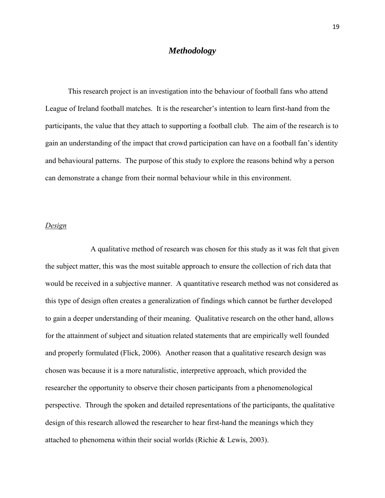### *Methodology*

 This research project is an investigation into the behaviour of football fans who attend League of Ireland football matches. It is the researcher's intention to learn first-hand from the participants, the value that they attach to supporting a football club. The aim of the research is to gain an understanding of the impact that crowd participation can have on a football fan's identity and behavioural patterns. The purpose of this study to explore the reasons behind why a person can demonstrate a change from their normal behaviour while in this environment.

#### *Design*

A qualitative method of research was chosen for this study as it was felt that given the subject matter, this was the most suitable approach to ensure the collection of rich data that would be received in a subjective manner. A quantitative research method was not considered as this type of design often creates a generalization of findings which cannot be further developed to gain a deeper understanding of their meaning. Qualitative research on the other hand, allows for the attainment of subject and situation related statements that are empirically well founded and properly formulated (Flick, 2006). Another reason that a qualitative research design was chosen was because it is a more naturalistic, interpretive approach, which provided the researcher the opportunity to observe their chosen participants from a phenomenological perspective. Through the spoken and detailed representations of the participants, the qualitative design of this research allowed the researcher to hear first-hand the meanings which they attached to phenomena within their social worlds (Richie & Lewis, 2003).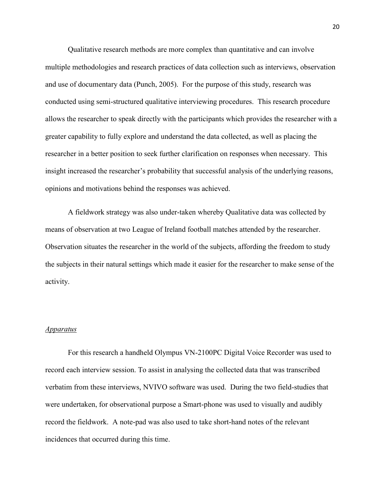Qualitative research methods are more complex than quantitative and can involve multiple methodologies and research practices of data collection such as interviews, observation and use of documentary data (Punch, 2005). For the purpose of this study, research was conducted using semi-structured qualitative interviewing procedures. This research procedure allows the researcher to speak directly with the participants which provides the researcher with a greater capability to fully explore and understand the data collected, as well as placing the researcher in a better position to seek further clarification on responses when necessary. This insight increased the researcher's probability that successful analysis of the underlying reasons, opinions and motivations behind the responses was achieved.

A fieldwork strategy was also under-taken whereby Qualitative data was collected by means of observation at two League of Ireland football matches attended by the researcher. Observation situates the researcher in the world of the subjects, affording the freedom to study the subjects in their natural settings which made it easier for the researcher to make sense of the activity.

#### *Apparatus*

 For this research a handheld Olympus VN-2100PC Digital Voice Recorder was used to record each interview session. To assist in analysing the collected data that was transcribed verbatim from these interviews, NVIVO software was used. During the two field-studies that were undertaken, for observational purpose a Smart-phone was used to visually and audibly record the fieldwork. A note-pad was also used to take short-hand notes of the relevant incidences that occurred during this time.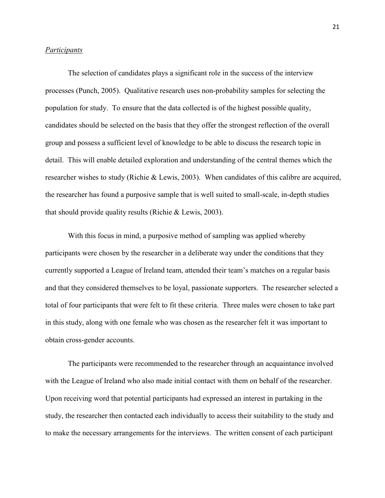#### *Participants*

 The selection of candidates plays a significant role in the success of the interview processes (Punch, 2005). Qualitative research uses non-probability samples for selecting the population for study. To ensure that the data collected is of the highest possible quality, candidates should be selected on the basis that they offer the strongest reflection of the overall group and possess a sufficient level of knowledge to be able to discuss the research topic in detail. This will enable detailed exploration and understanding of the central themes which the researcher wishes to study (Richie & Lewis, 2003). When candidates of this calibre are acquired, the researcher has found a purposive sample that is well suited to small-scale, in-depth studies that should provide quality results (Richie & Lewis, 2003).

With this focus in mind, a purposive method of sampling was applied whereby participants were chosen by the researcher in a deliberate way under the conditions that they currently supported a League of Ireland team, attended their team's matches on a regular basis and that they considered themselves to be loyal, passionate supporters. The researcher selected a total of four participants that were felt to fit these criteria. Three males were chosen to take part in this study, along with one female who was chosen as the researcher felt it was important to obtain cross-gender accounts.

 The participants were recommended to the researcher through an acquaintance involved with the League of Ireland who also made initial contact with them on behalf of the researcher. Upon receiving word that potential participants had expressed an interest in partaking in the study, the researcher then contacted each individually to access their suitability to the study and to make the necessary arrangements for the interviews. The written consent of each participant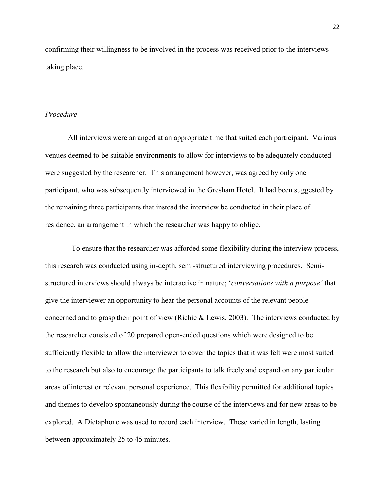confirming their willingness to be involved in the process was received prior to the interviews taking place.

### *Procedure*

 All interviews were arranged at an appropriate time that suited each participant. Various venues deemed to be suitable environments to allow for interviews to be adequately conducted were suggested by the researcher. This arrangement however, was agreed by only one participant, who was subsequently interviewed in the Gresham Hotel. It had been suggested by the remaining three participants that instead the interview be conducted in their place of residence, an arrangement in which the researcher was happy to oblige.

 To ensure that the researcher was afforded some flexibility during the interview process, this research was conducted using in-depth, semi-structured interviewing procedures. Semistructured interviews should always be interactive in nature; '*conversations with a purpose'* that give the interviewer an opportunity to hear the personal accounts of the relevant people concerned and to grasp their point of view (Richie & Lewis, 2003). The interviews conducted by the researcher consisted of 20 prepared open-ended questions which were designed to be sufficiently flexible to allow the interviewer to cover the topics that it was felt were most suited to the research but also to encourage the participants to talk freely and expand on any particular areas of interest or relevant personal experience. This flexibility permitted for additional topics and themes to develop spontaneously during the course of the interviews and for new areas to be explored. A Dictaphone was used to record each interview. These varied in length, lasting between approximately 25 to 45 minutes.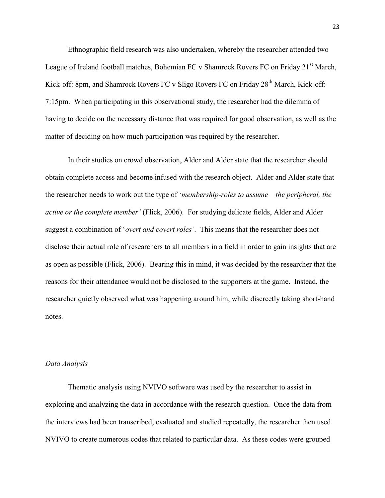Ethnographic field research was also undertaken, whereby the researcher attended two League of Ireland football matches, Bohemian FC v Shamrock Rovers FC on Friday 21<sup>st</sup> March, Kick-off: 8pm, and Shamrock Rovers FC v Sligo Rovers FC on Friday 28<sup>th</sup> March, Kick-off: 7:15pm. When participating in this observational study, the researcher had the dilemma of having to decide on the necessary distance that was required for good observation, as well as the matter of deciding on how much participation was required by the researcher.

 In their studies on crowd observation, Alder and Alder state that the researcher should obtain complete access and become infused with the research object. Alder and Alder state that the researcher needs to work out the type of '*membership-roles to assume – the peripheral, the active or the complete member'* (Flick, 2006). For studying delicate fields, Alder and Alder suggest a combination of '*overt and covert roles'*. This means that the researcher does not disclose their actual role of researchers to all members in a field in order to gain insights that are as open as possible (Flick, 2006). Bearing this in mind, it was decided by the researcher that the reasons for their attendance would not be disclosed to the supporters at the game. Instead, the researcher quietly observed what was happening around him, while discreetly taking short-hand notes.

### *Data Analysis*

 Thematic analysis using NVIVO software was used by the researcher to assist in exploring and analyzing the data in accordance with the research question. Once the data from the interviews had been transcribed, evaluated and studied repeatedly, the researcher then used NVIVO to create numerous codes that related to particular data. As these codes were grouped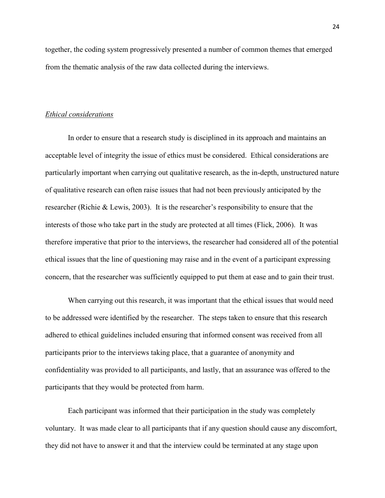together, the coding system progressively presented a number of common themes that emerged from the thematic analysis of the raw data collected during the interviews.

#### *Ethical considerations*

 In order to ensure that a research study is disciplined in its approach and maintains an acceptable level of integrity the issue of ethics must be considered. Ethical considerations are particularly important when carrying out qualitative research, as the in-depth, unstructured nature of qualitative research can often raise issues that had not been previously anticipated by the researcher (Richie & Lewis, 2003). It is the researcher's responsibility to ensure that the interests of those who take part in the study are protected at all times (Flick, 2006). It was therefore imperative that prior to the interviews, the researcher had considered all of the potential ethical issues that the line of questioning may raise and in the event of a participant expressing concern, that the researcher was sufficiently equipped to put them at ease and to gain their trust.

 When carrying out this research, it was important that the ethical issues that would need to be addressed were identified by the researcher. The steps taken to ensure that this research adhered to ethical guidelines included ensuring that informed consent was received from all participants prior to the interviews taking place, that a guarantee of anonymity and confidentiality was provided to all participants, and lastly, that an assurance was offered to the participants that they would be protected from harm.

 Each participant was informed that their participation in the study was completely voluntary. It was made clear to all participants that if any question should cause any discomfort, they did not have to answer it and that the interview could be terminated at any stage upon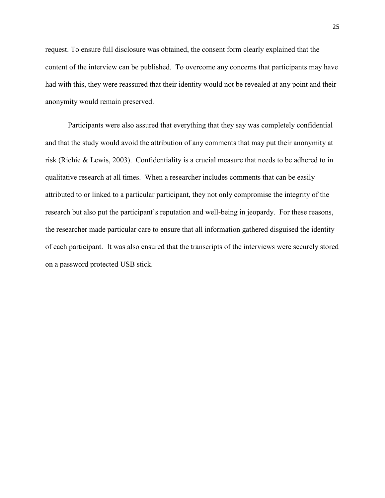request. To ensure full disclosure was obtained, the consent form clearly explained that the content of the interview can be published. To overcome any concerns that participants may have had with this, they were reassured that their identity would not be revealed at any point and their anonymity would remain preserved.

 Participants were also assured that everything that they say was completely confidential and that the study would avoid the attribution of any comments that may put their anonymity at risk (Richie & Lewis, 2003). Confidentiality is a crucial measure that needs to be adhered to in qualitative research at all times. When a researcher includes comments that can be easily attributed to or linked to a particular participant, they not only compromise the integrity of the research but also put the participant's reputation and well-being in jeopardy. For these reasons, the researcher made particular care to ensure that all information gathered disguised the identity of each participant. It was also ensured that the transcripts of the interviews were securely stored on a password protected USB stick.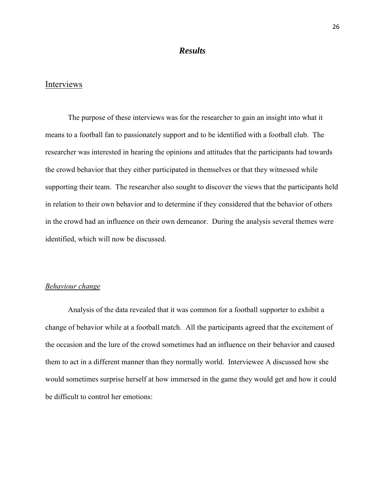### *Results*

## Interviews

 The purpose of these interviews was for the researcher to gain an insight into what it means to a football fan to passionately support and to be identified with a football club. The researcher was interested in hearing the opinions and attitudes that the participants had towards the crowd behavior that they either participated in themselves or that they witnessed while supporting their team. The researcher also sought to discover the views that the participants held in relation to their own behavior and to determine if they considered that the behavior of others in the crowd had an influence on their own demeanor. During the analysis several themes were identified, which will now be discussed.

### *Behaviour change*

 Analysis of the data revealed that it was common for a football supporter to exhibit a change of behavior while at a football match. All the participants agreed that the excitement of the occasion and the lure of the crowd sometimes had an influence on their behavior and caused them to act in a different manner than they normally world. Interviewee A discussed how she would sometimes surprise herself at how immersed in the game they would get and how it could be difficult to control her emotions: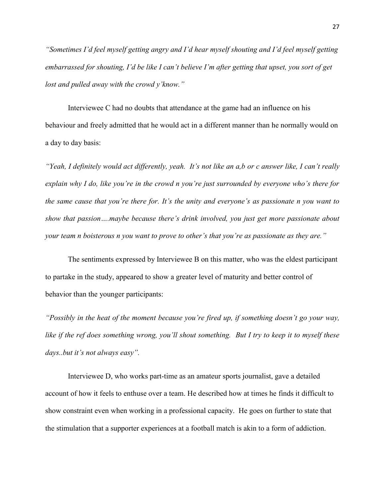*"Sometimes I'd feel myself getting angry and I'd hear myself shouting and I'd feel myself getting embarrassed for shouting, I'd be like I can't believe I'm after getting that upset, you sort of get lost and pulled away with the crowd y'know."*

 Interviewee C had no doubts that attendance at the game had an influence on his behaviour and freely admitted that he would act in a different manner than he normally would on a day to day basis:

*"Yeah, I definitely would act differently, yeah. It's not like an a,b or c answer like, I can't really explain why I do, like you're in the crowd n you're just surrounded by everyone who's there for the same cause that you're there for. It's the unity and everyone's as passionate n you want to show that passion….maybe because there's drink involved, you just get more passionate about your team n boisterous n you want to prove to other's that you're as passionate as they are."* 

 The sentiments expressed by Interviewee B on this matter, who was the eldest participant to partake in the study, appeared to show a greater level of maturity and better control of behavior than the younger participants:

*"Possibly in the heat of the moment because you're fired up, if something doesn't go your way, like if the ref does something wrong, you'll shout something. But I try to keep it to myself these days..but it's not always easy".* 

 Interviewee D, who works part-time as an amateur sports journalist, gave a detailed account of how it feels to enthuse over a team. He described how at times he finds it difficult to show constraint even when working in a professional capacity. He goes on further to state that the stimulation that a supporter experiences at a football match is akin to a form of addiction.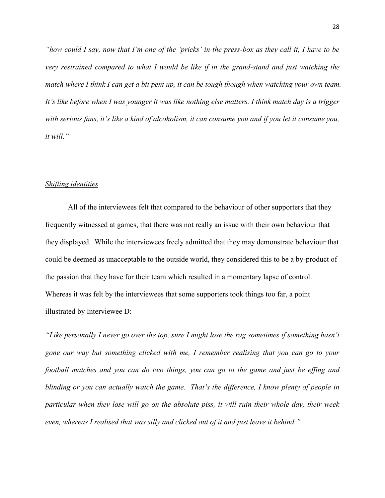*"how could I say, now that I'm one of the 'pricks' in the press-box as they call it, I have to be very restrained compared to what I would be like if in the grand-stand and just watching the match where I think I can get a bit pent up, it can be tough though when watching your own team. It's like before when I was younger it was like nothing else matters. I think match day is a trigger with serious fans, it's like a kind of alcoholism, it can consume you and if you let it consume you, it will."* 

#### *Shifting identities*

 All of the interviewees felt that compared to the behaviour of other supporters that they frequently witnessed at games, that there was not really an issue with their own behaviour that they displayed. While the interviewees freely admitted that they may demonstrate behaviour that could be deemed as unacceptable to the outside world, they considered this to be a by-product of the passion that they have for their team which resulted in a momentary lapse of control. Whereas it was felt by the interviewees that some supporters took things too far, a point illustrated by Interviewee D:

*"Like personally I never go over the top, sure I might lose the rag sometimes if something hasn't gone our way but something clicked with me, I remember realising that you can go to your football matches and you can do two things, you can go to the game and just be effing and blinding or you can actually watch the game. That's the difference, I know plenty of people in particular when they lose will go on the absolute piss, it will ruin their whole day, their week even, whereas I realised that was silly and clicked out of it and just leave it behind."*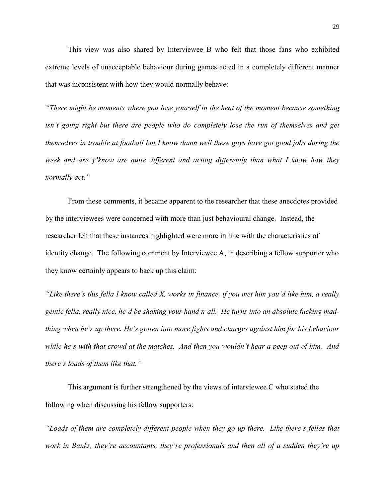This view was also shared by Interviewee B who felt that those fans who exhibited extreme levels of unacceptable behaviour during games acted in a completely different manner that was inconsistent with how they would normally behave:

*"There might be moments where you lose yourself in the heat of the moment because something isn't going right but there are people who do completely lose the run of themselves and get themselves in trouble at football but I know damn well these guys have got good jobs during the week and are y'know are quite different and acting differently than what I know how they normally act."* 

 From these comments, it became apparent to the researcher that these anecdotes provided by the interviewees were concerned with more than just behavioural change. Instead, the researcher felt that these instances highlighted were more in line with the characteristics of identity change. The following comment by Interviewee A, in describing a fellow supporter who they know certainly appears to back up this claim:

*"Like there's this fella I know called X, works in finance, if you met him you'd like him, a really gentle fella, really nice, he'd be shaking your hand n'all. He turns into an absolute fucking madthing when he's up there. He's gotten into more fights and charges against him for his behaviour while he's with that crowd at the matches. And then you wouldn't hear a peep out of him. And there's loads of them like that."* 

 This argument is further strengthened by the views of interviewee C who stated the following when discussing his fellow supporters:

*"Loads of them are completely different people when they go up there. Like there's fellas that work in Banks, they're accountants, they're professionals and then all of a sudden they're up*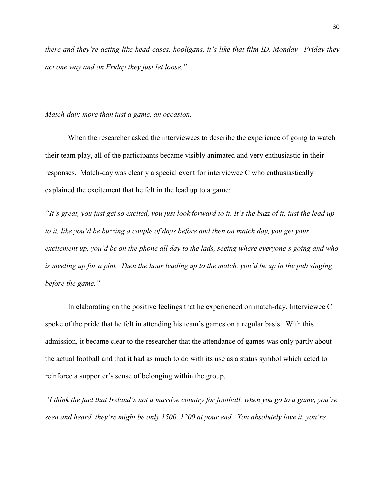*there and they're acting like head-cases, hooligans, it's like that film ID, Monday –Friday they act one way and on Friday they just let loose."* 

### *Match-day: more than just a game, an occasion.*

 When the researcher asked the interviewees to describe the experience of going to watch their team play, all of the participants became visibly animated and very enthusiastic in their responses. Match-day was clearly a special event for interviewee C who enthusiastically explained the excitement that he felt in the lead up to a game:

*"It's great, you just get so excited, you just look forward to it. It's the buzz of it, just the lead up to it, like you'd be buzzing a couple of days before and then on match day, you get your excitement up, you'd be on the phone all day to the lads, seeing where everyone's going and who is meeting up for a pint. Then the hour leading up to the match, you'd be up in the pub singing before the game."* 

In elaborating on the positive feelings that he experienced on match-day, Interviewee C spoke of the pride that he felt in attending his team's games on a regular basis. With this admission, it became clear to the researcher that the attendance of games was only partly about the actual football and that it had as much to do with its use as a status symbol which acted to reinforce a supporter's sense of belonging within the group.

*"I think the fact that Ireland's not a massive country for football, when you go to a game, you're seen and heard, they're might be only 1500, 1200 at your end. You absolutely love it, you're*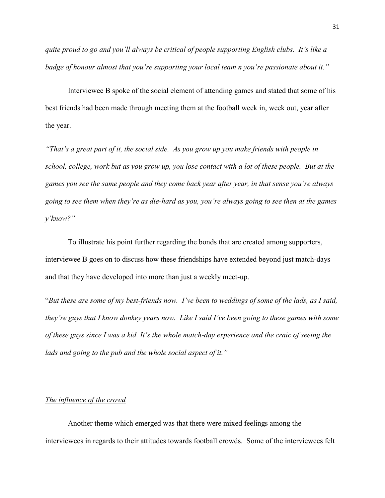*quite proud to go and you'll always be critical of people supporting English clubs. It's like a badge of honour almost that you're supporting your local team n you're passionate about it."* 

 Interviewee B spoke of the social element of attending games and stated that some of his best friends had been made through meeting them at the football week in, week out, year after the year.

*"That's a great part of it, the social side. As you grow up you make friends with people in school, college, work but as you grow up, you lose contact with a lot of these people. But at the games you see the same people and they come back year after year, in that sense you're always going to see them when they're as die-hard as you, you're always going to see then at the games y'know?"* 

 To illustrate his point further regarding the bonds that are created among supporters, interviewee B goes on to discuss how these friendships have extended beyond just match-days and that they have developed into more than just a weekly meet-up.

"*But these are some of my best-friends now. I've been to weddings of some of the lads, as I said, they're guys that I know donkey years now. Like I said I've been going to these games with some of these guys since I was a kid. It's the whole match-day experience and the craic of seeing the lads and going to the pub and the whole social aspect of it."* 

### *The influence of the crowd*

Another theme which emerged was that there were mixed feelings among the interviewees in regards to their attitudes towards football crowds. Some of the interviewees felt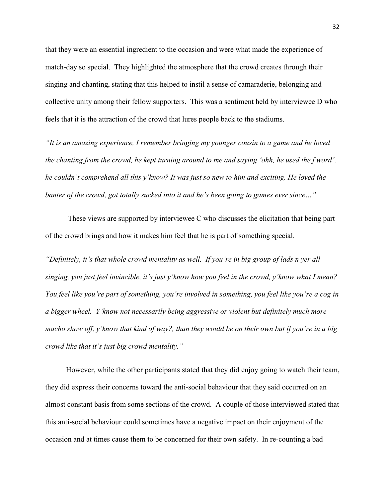that they were an essential ingredient to the occasion and were what made the experience of match-day so special. They highlighted the atmosphere that the crowd creates through their singing and chanting, stating that this helped to instil a sense of camaraderie, belonging and collective unity among their fellow supporters. This was a sentiment held by interviewee D who feels that it is the attraction of the crowd that lures people back to the stadiums.

*"It is an amazing experience, I remember bringing my younger cousin to a game and he loved the chanting from the crowd, he kept turning around to me and saying 'ohh, he used the f word', he couldn't comprehend all this y'know? It was just so new to him and exciting. He loved the banter of the crowd, got totally sucked into it and he's been going to games ever since…"* 

 These views are supported by interviewee C who discusses the elicitation that being part of the crowd brings and how it makes him feel that he is part of something special.

*"Definitely, it's that whole crowd mentality as well. If you're in big group of lads n yer all singing, you just feel invincible, it's just y'know how you feel in the crowd, y'know what I mean? You feel like you're part of something, you're involved in something, you feel like you're a cog in a bigger wheel. Y'know not necessarily being aggressive or violent but definitely much more macho show off, y'know that kind of way?, than they would be on their own but if you're in a big crowd like that it's just big crowd mentality."* 

 However, while the other participants stated that they did enjoy going to watch their team, they did express their concerns toward the anti-social behaviour that they said occurred on an almost constant basis from some sections of the crowd. A couple of those interviewed stated that this anti-social behaviour could sometimes have a negative impact on their enjoyment of the occasion and at times cause them to be concerned for their own safety. In re-counting a bad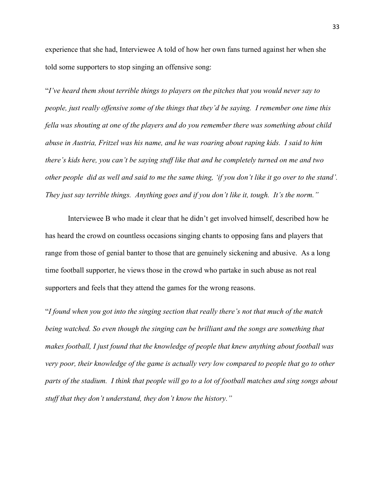experience that she had, Interviewee A told of how her own fans turned against her when she told some supporters to stop singing an offensive song:

"*I've heard them shout terrible things to players on the pitches that you would never say to people, just really offensive some of the things that they'd be saying. I remember one time this fella was shouting at one of the players and do you remember there was something about child abuse in Austria, Fritzel was his name, and he was roaring about raping kids. I said to him there's kids here, you can't be saying stuff like that and he completely turned on me and two other people did as well and said to me the same thing, 'if you don't like it go over to the stand'. They just say terrible things. Anything goes and if you don't like it, tough. It's the norm."* 

 Interviewee B who made it clear that he didn't get involved himself, described how he has heard the crowd on countless occasions singing chants to opposing fans and players that range from those of genial banter to those that are genuinely sickening and abusive. As a long time football supporter, he views those in the crowd who partake in such abuse as not real supporters and feels that they attend the games for the wrong reasons.

"*I found when you got into the singing section that really there's not that much of the match being watched. So even though the singing can be brilliant and the songs are something that makes football, I just found that the knowledge of people that knew anything about football was very poor, their knowledge of the game is actually very low compared to people that go to other parts of the stadium. I think that people will go to a lot of football matches and sing songs about stuff that they don't understand, they don't know the history."*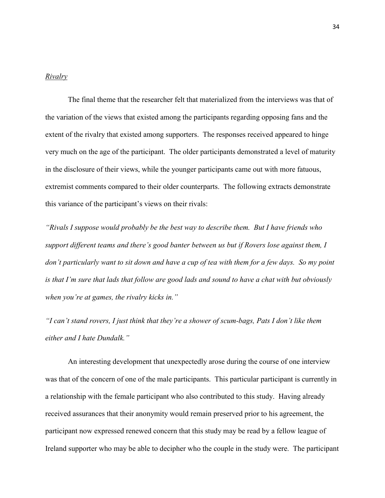#### *Rivalry*

 The final theme that the researcher felt that materialized from the interviews was that of the variation of the views that existed among the participants regarding opposing fans and the extent of the rivalry that existed among supporters. The responses received appeared to hinge very much on the age of the participant. The older participants demonstrated a level of maturity in the disclosure of their views, while the younger participants came out with more fatuous, extremist comments compared to their older counterparts. The following extracts demonstrate this variance of the participant's views on their rivals:

*"Rivals I suppose would probably be the best way to describe them. But I have friends who support different teams and there's good banter between us but if Rovers lose against them, I don't particularly want to sit down and have a cup of tea with them for a few days. So my point is that I'm sure that lads that follow are good lads and sound to have a chat with but obviously when you're at games, the rivalry kicks in."*

*"I can't stand rovers, I just think that they're a shower of scum-bags, Pats I don't like them either and I hate Dundalk."* 

An interesting development that unexpectedly arose during the course of one interview was that of the concern of one of the male participants. This particular participant is currently in a relationship with the female participant who also contributed to this study. Having already received assurances that their anonymity would remain preserved prior to his agreement, the participant now expressed renewed concern that this study may be read by a fellow league of Ireland supporter who may be able to decipher who the couple in the study were. The participant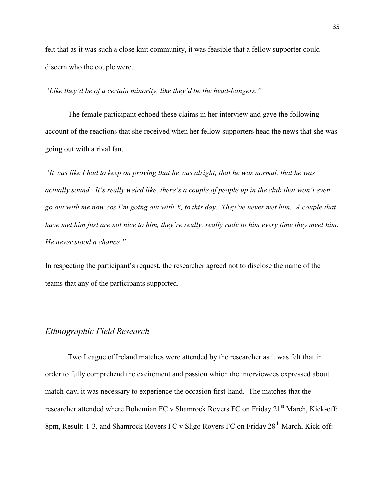felt that as it was such a close knit community, it was feasible that a fellow supporter could discern who the couple were.

*"Like they'd be of a certain minority, like they'd be the head-bangers."* 

The female participant echoed these claims in her interview and gave the following account of the reactions that she received when her fellow supporters head the news that she was going out with a rival fan.

*"It was like I had to keep on proving that he was alright, that he was normal, that he was actually sound. It's really weird like, there's a couple of people up in the club that won't even go out with me now cos I'm going out with X, to this day. They've never met him. A couple that have met him just are not nice to him, they're really, really rude to him every time they meet him. He never stood a chance."* 

In respecting the participant's request, the researcher agreed not to disclose the name of the teams that any of the participants supported.

## *Ethnographic Field Research*

 Two League of Ireland matches were attended by the researcher as it was felt that in order to fully comprehend the excitement and passion which the interviewees expressed about match-day, it was necessary to experience the occasion first-hand. The matches that the researcher attended where Bohemian FC v Shamrock Rovers FC on Friday 21<sup>st</sup> March, Kick-off: 8pm, Result: 1-3, and Shamrock Rovers FC v Sligo Rovers FC on Friday 28<sup>th</sup> March, Kick-off: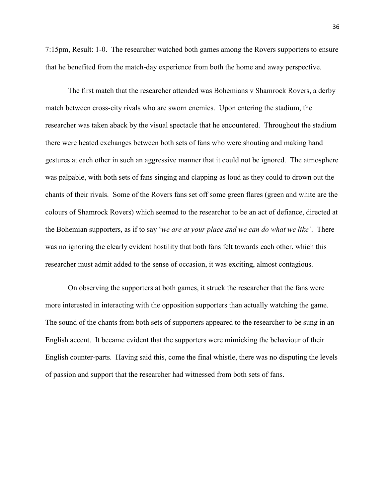7:15pm, Result: 1-0. The researcher watched both games among the Rovers supporters to ensure that he benefited from the match-day experience from both the home and away perspective.

 The first match that the researcher attended was Bohemians v Shamrock Rovers, a derby match between cross-city rivals who are sworn enemies. Upon entering the stadium, the researcher was taken aback by the visual spectacle that he encountered. Throughout the stadium there were heated exchanges between both sets of fans who were shouting and making hand gestures at each other in such an aggressive manner that it could not be ignored. The atmosphere was palpable, with both sets of fans singing and clapping as loud as they could to drown out the chants of their rivals. Some of the Rovers fans set off some green flares (green and white are the colours of Shamrock Rovers) which seemed to the researcher to be an act of defiance, directed at the Bohemian supporters, as if to say '*we are at your place and we can do what we like'*. There was no ignoring the clearly evident hostility that both fans felt towards each other, which this researcher must admit added to the sense of occasion, it was exciting, almost contagious.

 On observing the supporters at both games, it struck the researcher that the fans were more interested in interacting with the opposition supporters than actually watching the game. The sound of the chants from both sets of supporters appeared to the researcher to be sung in an English accent. It became evident that the supporters were mimicking the behaviour of their English counter-parts. Having said this, come the final whistle, there was no disputing the levels of passion and support that the researcher had witnessed from both sets of fans.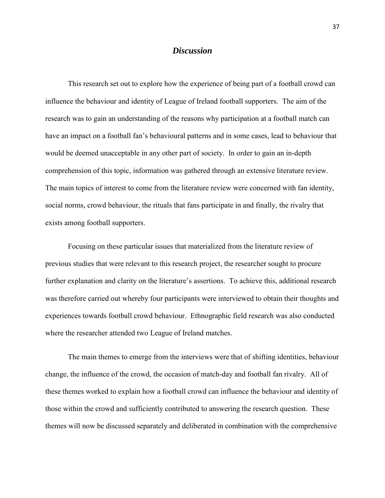### *Discussion*

 This research set out to explore how the experience of being part of a football crowd can influence the behaviour and identity of League of Ireland football supporters. The aim of the research was to gain an understanding of the reasons why participation at a football match can have an impact on a football fan's behavioural patterns and in some cases, lead to behaviour that would be deemed unacceptable in any other part of society. In order to gain an in-depth comprehension of this topic, information was gathered through an extensive literature review. The main topics of interest to come from the literature review were concerned with fan identity, social norms, crowd behaviour, the rituals that fans participate in and finally, the rivalry that exists among football supporters.

 Focusing on these particular issues that materialized from the literature review of previous studies that were relevant to this research project, the researcher sought to procure further explanation and clarity on the literature's assertions. To achieve this, additional research was therefore carried out whereby four participants were interviewed to obtain their thoughts and experiences towards football crowd behaviour. Ethnographic field research was also conducted where the researcher attended two League of Ireland matches.

 The main themes to emerge from the interviews were that of shifting identities, behaviour change, the influence of the crowd, the occasion of match-day and football fan rivalry. All of these themes worked to explain how a football crowd can influence the behaviour and identity of those within the crowd and sufficiently contributed to answering the research question. These themes will now be discussed separately and deliberated in combination with the comprehensive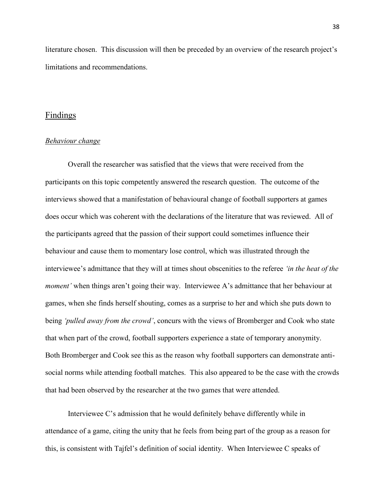literature chosen. This discussion will then be preceded by an overview of the research project's limitations and recommendations.

### Findings

#### *Behaviour change*

 Overall the researcher was satisfied that the views that were received from the participants on this topic competently answered the research question. The outcome of the interviews showed that a manifestation of behavioural change of football supporters at games does occur which was coherent with the declarations of the literature that was reviewed. All of the participants agreed that the passion of their support could sometimes influence their behaviour and cause them to momentary lose control, which was illustrated through the interviewee's admittance that they will at times shout obscenities to the referee *'in the heat of the moment'* when things aren't going their way. Interviewee A's admittance that her behaviour at games, when she finds herself shouting, comes as a surprise to her and which she puts down to being *'pulled away from the crowd'*, concurs with the views of Bromberger and Cook who state that when part of the crowd, football supporters experience a state of temporary anonymity. Both Bromberger and Cook see this as the reason why football supporters can demonstrate antisocial norms while attending football matches. This also appeared to be the case with the crowds that had been observed by the researcher at the two games that were attended.

 Interviewee C's admission that he would definitely behave differently while in attendance of a game, citing the unity that he feels from being part of the group as a reason for this, is consistent with Tajfel's definition of social identity. When Interviewee C speaks of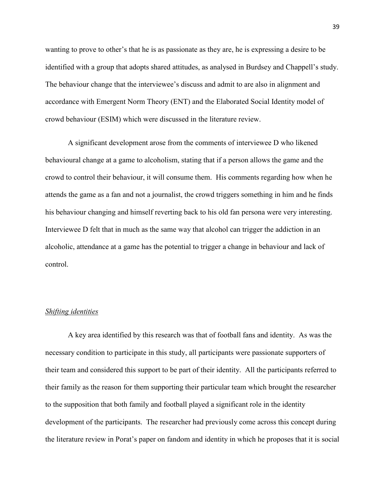wanting to prove to other's that he is as passionate as they are, he is expressing a desire to be identified with a group that adopts shared attitudes, as analysed in Burdsey and Chappell's study. The behaviour change that the interviewee's discuss and admit to are also in alignment and accordance with Emergent Norm Theory (ENT) and the Elaborated Social Identity model of crowd behaviour (ESIM) which were discussed in the literature review.

 A significant development arose from the comments of interviewee D who likened behavioural change at a game to alcoholism, stating that if a person allows the game and the crowd to control their behaviour, it will consume them. His comments regarding how when he attends the game as a fan and not a journalist, the crowd triggers something in him and he finds his behaviour changing and himself reverting back to his old fan persona were very interesting. Interviewee D felt that in much as the same way that alcohol can trigger the addiction in an alcoholic, attendance at a game has the potential to trigger a change in behaviour and lack of control.

#### *Shifting identities*

 A key area identified by this research was that of football fans and identity. As was the necessary condition to participate in this study, all participants were passionate supporters of their team and considered this support to be part of their identity. All the participants referred to their family as the reason for them supporting their particular team which brought the researcher to the supposition that both family and football played a significant role in the identity development of the participants. The researcher had previously come across this concept during the literature review in Porat's paper on fandom and identity in which he proposes that it is social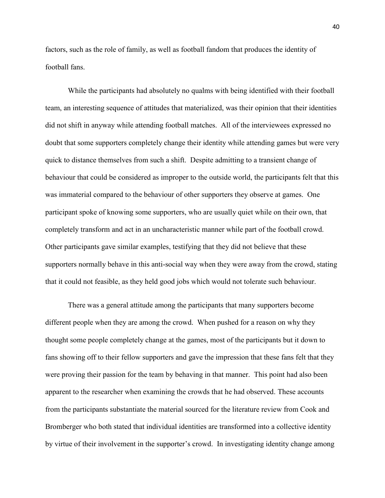factors, such as the role of family, as well as football fandom that produces the identity of football fans.

 While the participants had absolutely no qualms with being identified with their football team, an interesting sequence of attitudes that materialized, was their opinion that their identities did not shift in anyway while attending football matches. All of the interviewees expressed no doubt that some supporters completely change their identity while attending games but were very quick to distance themselves from such a shift. Despite admitting to a transient change of behaviour that could be considered as improper to the outside world, the participants felt that this was immaterial compared to the behaviour of other supporters they observe at games. One participant spoke of knowing some supporters, who are usually quiet while on their own, that completely transform and act in an uncharacteristic manner while part of the football crowd. Other participants gave similar examples, testifying that they did not believe that these supporters normally behave in this anti-social way when they were away from the crowd, stating that it could not feasible, as they held good jobs which would not tolerate such behaviour.

 There was a general attitude among the participants that many supporters become different people when they are among the crowd. When pushed for a reason on why they thought some people completely change at the games, most of the participants but it down to fans showing off to their fellow supporters and gave the impression that these fans felt that they were proving their passion for the team by behaving in that manner. This point had also been apparent to the researcher when examining the crowds that he had observed. These accounts from the participants substantiate the material sourced for the literature review from Cook and Bromberger who both stated that individual identities are transformed into a collective identity by virtue of their involvement in the supporter's crowd. In investigating identity change among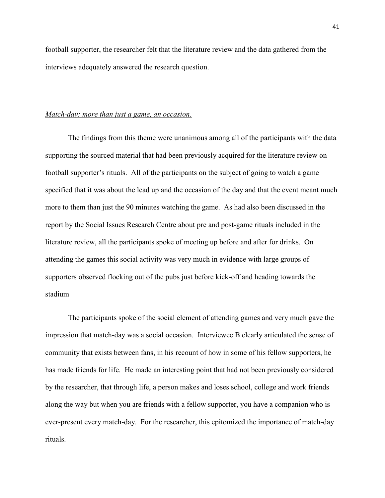football supporter, the researcher felt that the literature review and the data gathered from the interviews adequately answered the research question.

### *Match-day: more than just a game, an occasion.*

 The findings from this theme were unanimous among all of the participants with the data supporting the sourced material that had been previously acquired for the literature review on football supporter's rituals. All of the participants on the subject of going to watch a game specified that it was about the lead up and the occasion of the day and that the event meant much more to them than just the 90 minutes watching the game. As had also been discussed in the report by the Social Issues Research Centre about pre and post-game rituals included in the literature review, all the participants spoke of meeting up before and after for drinks. On attending the games this social activity was very much in evidence with large groups of supporters observed flocking out of the pubs just before kick-off and heading towards the stadium

 The participants spoke of the social element of attending games and very much gave the impression that match-day was a social occasion. Interviewee B clearly articulated the sense of community that exists between fans, in his recount of how in some of his fellow supporters, he has made friends for life. He made an interesting point that had not been previously considered by the researcher, that through life, a person makes and loses school, college and work friends along the way but when you are friends with a fellow supporter, you have a companion who is ever-present every match-day. For the researcher, this epitomized the importance of match-day rituals.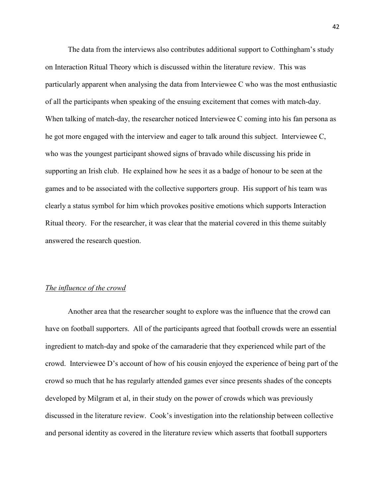The data from the interviews also contributes additional support to Cotthingham's study on Interaction Ritual Theory which is discussed within the literature review. This was particularly apparent when analysing the data from Interviewee C who was the most enthusiastic of all the participants when speaking of the ensuing excitement that comes with match-day. When talking of match-day, the researcher noticed Interviewee C coming into his fan persona as he got more engaged with the interview and eager to talk around this subject. Interviewee C, who was the youngest participant showed signs of bravado while discussing his pride in supporting an Irish club. He explained how he sees it as a badge of honour to be seen at the games and to be associated with the collective supporters group. His support of his team was clearly a status symbol for him which provokes positive emotions which supports Interaction Ritual theory. For the researcher, it was clear that the material covered in this theme suitably answered the research question.

### *The influence of the crowd*

 Another area that the researcher sought to explore was the influence that the crowd can have on football supporters. All of the participants agreed that football crowds were an essential ingredient to match-day and spoke of the camaraderie that they experienced while part of the crowd. Interviewee D's account of how of his cousin enjoyed the experience of being part of the crowd so much that he has regularly attended games ever since presents shades of the concepts developed by Milgram et al, in their study on the power of crowds which was previously discussed in the literature review. Cook's investigation into the relationship between collective and personal identity as covered in the literature review which asserts that football supporters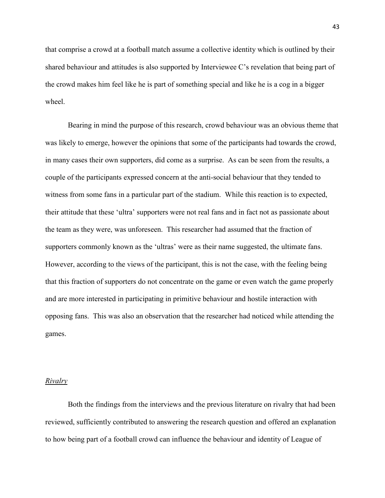that comprise a crowd at a football match assume a collective identity which is outlined by their shared behaviour and attitudes is also supported by Interviewee C's revelation that being part of the crowd makes him feel like he is part of something special and like he is a cog in a bigger wheel

 Bearing in mind the purpose of this research, crowd behaviour was an obvious theme that was likely to emerge, however the opinions that some of the participants had towards the crowd, in many cases their own supporters, did come as a surprise. As can be seen from the results, a couple of the participants expressed concern at the anti-social behaviour that they tended to witness from some fans in a particular part of the stadium. While this reaction is to expected, their attitude that these 'ultra' supporters were not real fans and in fact not as passionate about the team as they were, was unforeseen. This researcher had assumed that the fraction of supporters commonly known as the 'ultras' were as their name suggested, the ultimate fans. However, according to the views of the participant, this is not the case, with the feeling being that this fraction of supporters do not concentrate on the game or even watch the game properly and are more interested in participating in primitive behaviour and hostile interaction with opposing fans. This was also an observation that the researcher had noticed while attending the games.

### *Rivalry*

 Both the findings from the interviews and the previous literature on rivalry that had been reviewed, sufficiently contributed to answering the research question and offered an explanation to how being part of a football crowd can influence the behaviour and identity of League of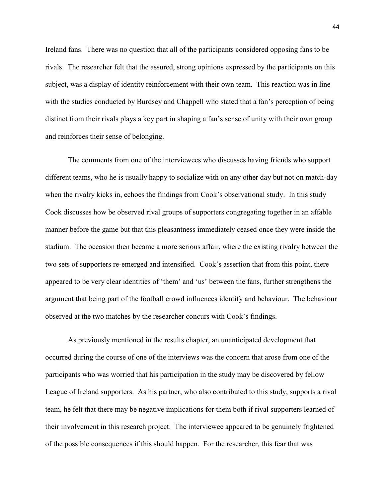Ireland fans. There was no question that all of the participants considered opposing fans to be rivals. The researcher felt that the assured, strong opinions expressed by the participants on this subject, was a display of identity reinforcement with their own team. This reaction was in line with the studies conducted by Burdsey and Chappell who stated that a fan's perception of being distinct from their rivals plays a key part in shaping a fan's sense of unity with their own group and reinforces their sense of belonging.

 The comments from one of the interviewees who discusses having friends who support different teams, who he is usually happy to socialize with on any other day but not on match-day when the rivalry kicks in, echoes the findings from Cook's observational study. In this study Cook discusses how be observed rival groups of supporters congregating together in an affable manner before the game but that this pleasantness immediately ceased once they were inside the stadium. The occasion then became a more serious affair, where the existing rivalry between the two sets of supporters re-emerged and intensified. Cook's assertion that from this point, there appeared to be very clear identities of 'them' and 'us' between the fans, further strengthens the argument that being part of the football crowd influences identify and behaviour. The behaviour observed at the two matches by the researcher concurs with Cook's findings.

 As previously mentioned in the results chapter, an unanticipated development that occurred during the course of one of the interviews was the concern that arose from one of the participants who was worried that his participation in the study may be discovered by fellow League of Ireland supporters. As his partner, who also contributed to this study, supports a rival team, he felt that there may be negative implications for them both if rival supporters learned of their involvement in this research project. The interviewee appeared to be genuinely frightened of the possible consequences if this should happen. For the researcher, this fear that was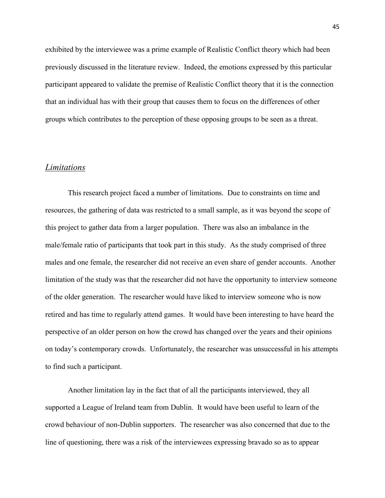exhibited by the interviewee was a prime example of Realistic Conflict theory which had been previously discussed in the literature review. Indeed, the emotions expressed by this particular participant appeared to validate the premise of Realistic Conflict theory that it is the connection that an individual has with their group that causes them to focus on the differences of other groups which contributes to the perception of these opposing groups to be seen as a threat.

### *Limitations*

 This research project faced a number of limitations. Due to constraints on time and resources, the gathering of data was restricted to a small sample, as it was beyond the scope of this project to gather data from a larger population. There was also an imbalance in the male/female ratio of participants that took part in this study. As the study comprised of three males and one female, the researcher did not receive an even share of gender accounts. Another limitation of the study was that the researcher did not have the opportunity to interview someone of the older generation. The researcher would have liked to interview someone who is now retired and has time to regularly attend games. It would have been interesting to have heard the perspective of an older person on how the crowd has changed over the years and their opinions on today's contemporary crowds. Unfortunately, the researcher was unsuccessful in his attempts to find such a participant.

 Another limitation lay in the fact that of all the participants interviewed, they all supported a League of Ireland team from Dublin. It would have been useful to learn of the crowd behaviour of non-Dublin supporters. The researcher was also concerned that due to the line of questioning, there was a risk of the interviewees expressing bravado so as to appear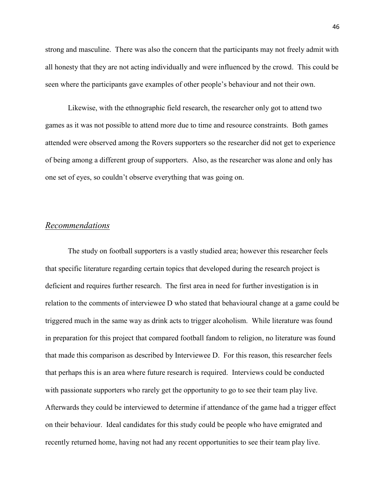strong and masculine. There was also the concern that the participants may not freely admit with all honesty that they are not acting individually and were influenced by the crowd. This could be seen where the participants gave examples of other people's behaviour and not their own.

 Likewise, with the ethnographic field research, the researcher only got to attend two games as it was not possible to attend more due to time and resource constraints. Both games attended were observed among the Rovers supporters so the researcher did not get to experience of being among a different group of supporters. Also, as the researcher was alone and only has one set of eyes, so couldn't observe everything that was going on.

### *Recommendations*

 The study on football supporters is a vastly studied area; however this researcher feels that specific literature regarding certain topics that developed during the research project is deficient and requires further research. The first area in need for further investigation is in relation to the comments of interviewee D who stated that behavioural change at a game could be triggered much in the same way as drink acts to trigger alcoholism. While literature was found in preparation for this project that compared football fandom to religion, no literature was found that made this comparison as described by Interviewee D. For this reason, this researcher feels that perhaps this is an area where future research is required. Interviews could be conducted with passionate supporters who rarely get the opportunity to go to see their team play live. Afterwards they could be interviewed to determine if attendance of the game had a trigger effect on their behaviour. Ideal candidates for this study could be people who have emigrated and recently returned home, having not had any recent opportunities to see their team play live.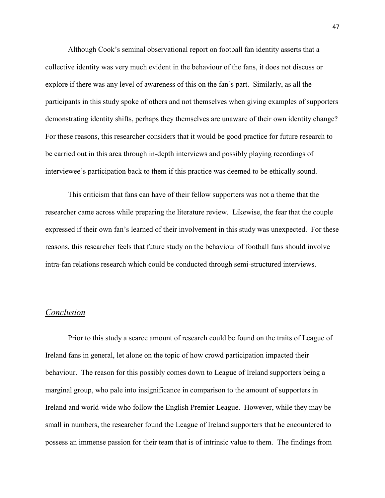Although Cook's seminal observational report on football fan identity asserts that a collective identity was very much evident in the behaviour of the fans, it does not discuss or explore if there was any level of awareness of this on the fan's part. Similarly, as all the participants in this study spoke of others and not themselves when giving examples of supporters demonstrating identity shifts, perhaps they themselves are unaware of their own identity change? For these reasons, this researcher considers that it would be good practice for future research to be carried out in this area through in-depth interviews and possibly playing recordings of interviewee's participation back to them if this practice was deemed to be ethically sound.

 This criticism that fans can have of their fellow supporters was not a theme that the researcher came across while preparing the literature review. Likewise, the fear that the couple expressed if their own fan's learned of their involvement in this study was unexpected. For these reasons, this researcher feels that future study on the behaviour of football fans should involve intra-fan relations research which could be conducted through semi-structured interviews.

### *Conclusion*

 Prior to this study a scarce amount of research could be found on the traits of League of Ireland fans in general, let alone on the topic of how crowd participation impacted their behaviour. The reason for this possibly comes down to League of Ireland supporters being a marginal group, who pale into insignificance in comparison to the amount of supporters in Ireland and world-wide who follow the English Premier League. However, while they may be small in numbers, the researcher found the League of Ireland supporters that he encountered to possess an immense passion for their team that is of intrinsic value to them. The findings from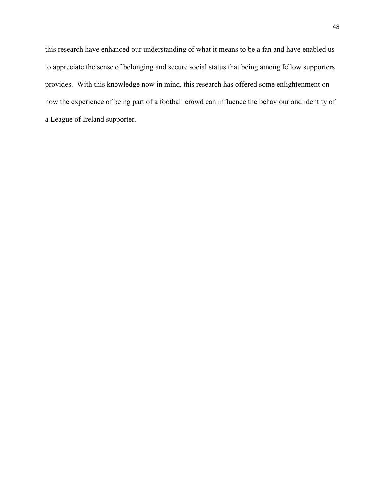this research have enhanced our understanding of what it means to be a fan and have enabled us to appreciate the sense of belonging and secure social status that being among fellow supporters provides. With this knowledge now in mind, this research has offered some enlightenment on how the experience of being part of a football crowd can influence the behaviour and identity of a League of Ireland supporter.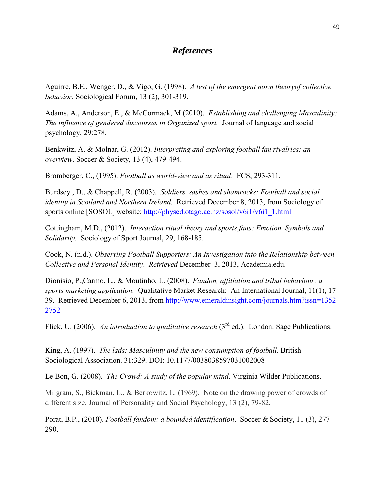## *References*

Aguirre, B.E., Wenger, D., & Vigo, G. (1998). *A test of the emergent norm theoryof collective behavior.* Sociological Forum, 13 (2), 301-319.

Adams, A., Anderson, E., & McCormack, M (2010). *Establishing and challenging Masculinity: The influence of gendered discourses in Organized sport.* Journal of language and social psychology, 29:278.

Benkwitz, A. & Molnar, G. (2012). *Interpreting and exploring football fan rivalries: an overview*. Soccer & Society, 13 (4), 479-494.

Bromberger, C., (1995). *Football as world-view and as ritual*. FCS, 293-311.

Burdsey , D., & Chappell, R. (2003). *Soldiers, sashes and shamrocks: Football and social identity in Scotland and Northern Ireland.* Retrieved December 8, 2013, from Sociology of sports online [SOSOL] website: [http://physed.otago.ac.nz/sosol/v6i1/v6i1\\_1.html](http://physed.otago.ac.nz/sosol/v6i1/v6i1_1.html)

Cottingham, M.D., (2012). *Interaction ritual theory and sports fans: Emotion, Symbols and Solidarity.* Sociology of Sport Journal, 29, 168-185.

Cook, N. (n.d.). *Observing Football Supporters: An Investigation into the Relationship between Collective and Personal Identity*. *Retrieved* December 3, 2013, Academia.edu.

Dionisio, P.,Carmo, L., & Moutinho, L. (2008). *Fandon, affiliation and tribal behaviour: a sports marketing application.* Qualitative Market Research: An International Journal, 11(1), 17- 39. Retrieved December 6, 2013, from [http://www.emeraldinsight.com/journals.htm?issn=1352-](http://www.emeraldinsight.com/journals.htm?issn=1352-2752) [2752](http://www.emeraldinsight.com/journals.htm?issn=1352-2752)

Flick, U. (2006). *An introduction to qualitative research* (3<sup>rd</sup> ed.). London: Sage Publications.

King, A. (1997). *The lads: Masculinity and the new consumption of football.* British Sociological Association. 31:329. DOI: 10.1177/0038038597031002008

Le Bon, G. (2008). *The Crowd: A study of the popular mind*. Virginia Wilder Publications.

Milgram, S., Bickman, L., & Berkowitz, L. (1969). Note on the drawing power of crowds of different size. Journal of Personality and Social Psychology, 13 (2), 79-82.

Porat, B.P., (2010). *Football fandom: a bounded identification*. Soccer & Society, 11 (3), 277- 290.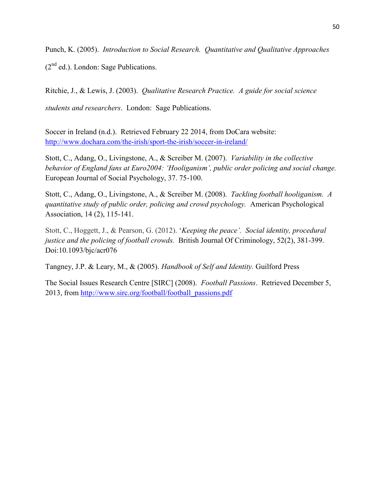Punch, K. (2005). *Introduction to Social Research. Quantitative and Qualitative Approaches*  $(2<sup>nd</sup>$  ed.). London: Sage Publications.

Ritchie, J., & Lewis, J. (2003). *Qualitative Research Practice. A guide for social science students and researchers*. London: Sage Publications.

Soccer in Ireland (n.d.). Retrieved February 22 2014, from DoCara website: <http://www.dochara.com/the-irish/sport-the-irish/soccer-in-ireland/>

Stott, C., Adang, O., Livingstone, A., & Screiber M. (2007). *Variability in the collective behavior of England fans at Euro2004: 'Hooliganism', public order policing and social change.*  European Journal of Social Psychology, 37. 75-100.

Stott, C., Adang, O., Livingstone, A., & Screiber M. (2008). *Tackling football hooliganism. A quantitative study of public order, policing and crowd psychology.* American Psychological Association, 14 (2), 115-141.

Stott, C., Hoggett, J., & Pearson, G. (2012). '*Keeping the peace'. Social identity, procedural justice and the policing of football crowds.* British Journal Of Criminology, 52(2), 381-399. Doi:10.1093/bjc/acr076

Tangney, J.P. & Leary, M., & (2005). *Handbook of Self and Identity.* Guilford Press

The Social Issues Research Centre [SIRC] (2008). *Football Passions*. Retrieved December 5, 2013, from [http://www.sirc.org/football/football\\_passions.pdf](http://www.sirc.org/football/football_passions.pdf)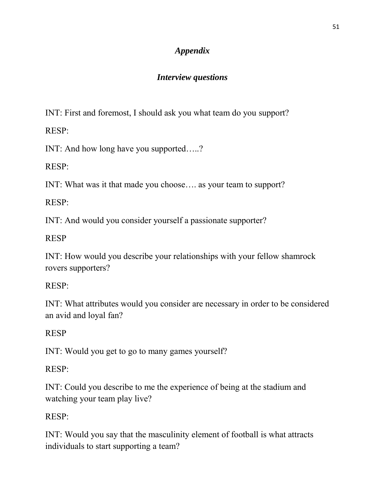## *Appendix*

## *Interview questions*

INT: First and foremost, I should ask you what team do you support?

RESP:

INT: And how long have you supported…..?

RESP:

INT: What was it that made you choose…. as your team to support?

RESP:

INT: And would you consider yourself a passionate supporter?

RESP

INT: How would you describe your relationships with your fellow shamrock rovers supporters?

RESP:

INT: What attributes would you consider are necessary in order to be considered an avid and loyal fan?

# RESP

INT: Would you get to go to many games yourself?

RESP:

INT: Could you describe to me the experience of being at the stadium and watching your team play live?

# RESP:

INT: Would you say that the masculinity element of football is what attracts individuals to start supporting a team?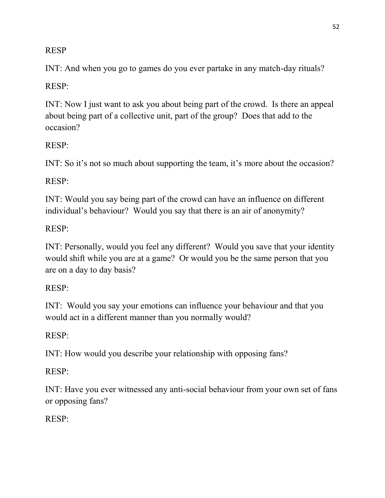## RESP

INT: And when you go to games do you ever partake in any match-day rituals?

## RESP:

INT: Now I just want to ask you about being part of the crowd. Is there an appeal about being part of a collective unit, part of the group? Does that add to the occasion?

## RESP:

INT: So it's not so much about supporting the team, it's more about the occasion?

## RESP:

INT: Would you say being part of the crowd can have an influence on different individual's behaviour? Would you say that there is an air of anonymity?

## RESP:

INT: Personally, would you feel any different? Would you save that your identity would shift while you are at a game? Or would you be the same person that you are on a day to day basis?

## RESP:

INT: Would you say your emotions can influence your behaviour and that you would act in a different manner than you normally would?

## RESP:

INT: How would you describe your relationship with opposing fans?

## RESP:

INT: Have you ever witnessed any anti-social behaviour from your own set of fans or opposing fans?

## RESP: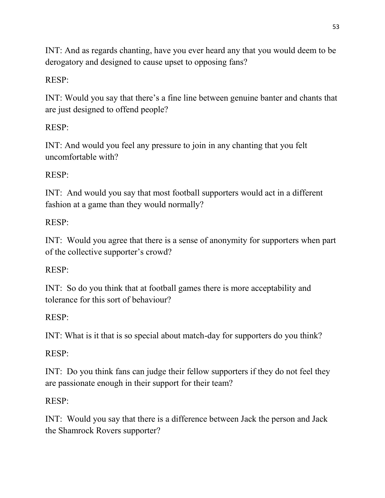INT: And as regards chanting, have you ever heard any that you would deem to be derogatory and designed to cause upset to opposing fans?

# RESP:

INT: Would you say that there's a fine line between genuine banter and chants that are just designed to offend people?

# RESP:

INT: And would you feel any pressure to join in any chanting that you felt uncomfortable with?

## RESP:

INT: And would you say that most football supporters would act in a different fashion at a game than they would normally?

## RESP:

INT: Would you agree that there is a sense of anonymity for supporters when part of the collective supporter's crowd?

## RESP:

INT: So do you think that at football games there is more acceptability and tolerance for this sort of behaviour?

## RESP:

INT: What is it that is so special about match-day for supporters do you think?

## RESP:

INT: Do you think fans can judge their fellow supporters if they do not feel they are passionate enough in their support for their team?

## RESP:

INT: Would you say that there is a difference between Jack the person and Jack the Shamrock Rovers supporter?